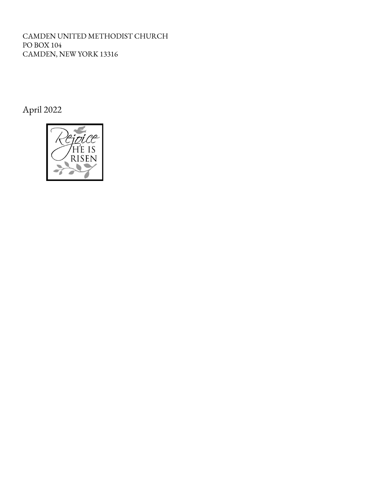CAMDEN UNITED METHODIST CHURCH PO BOX 104 CAMDEN, NEW YORK 13316

April 2022

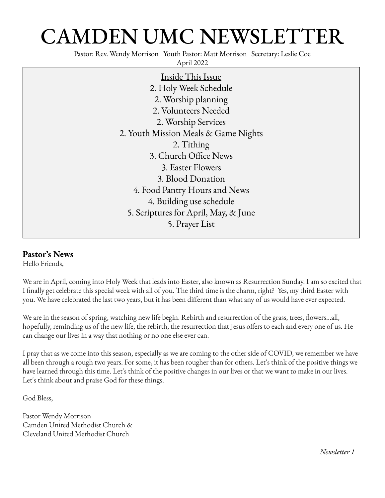# CAMDEN UMC NEWSLETTER

Pastor: Rev. Wendy Morrison Youth Pastor: Matt Morrison Secretary: Leslie Coe

April 2022

Inside This Issue 2. Holy Week Schedule 2. Worship planning 2. Volunteers Needed 2. Worship Services 2. Youth Mission Meals & Game Nights 2. Tithing 3. Church Office News 3. Easter Flowers 3. Blood Donation 4. Food Pantry Hours and News 4. Building use schedule 5. Scriptures for April, May, & June 5. Prayer List

#### **Pastor's News**

Hello Friends,

We are in April, coming into Holy Week that leads into Easter, also known as Resurrection Sunday. I am so excited that I finally get celebrate this special week with all of you. The third time is the charm, right? Yes, my third Easter with you. We have celebrated the last two years, but it has been different than what any of us would have ever expected.

We are in the season of spring, watching new life begin. Rebirth and resurrection of the grass, trees, flowers...all, hopefully, reminding us of the new life, the rebirth, the resurrection that Jesus offers to each and every one of us. He can change our lives in a way that nothing or no one else ever can.

I pray that as we come into this season, especially as we are coming to the other side of COVID, we remember we have all been through a rough two years. For some, it has been rougher than for others. Let's think of the positive things we have learned through this time. Let's think of the positive changes in our lives or that we want to make in our lives. Let's think about and praise God for these things.

God Bless,

Pastor Wendy Morrison Camden United Methodist Church & Cleveland United Methodist Church

*Newsletter 1*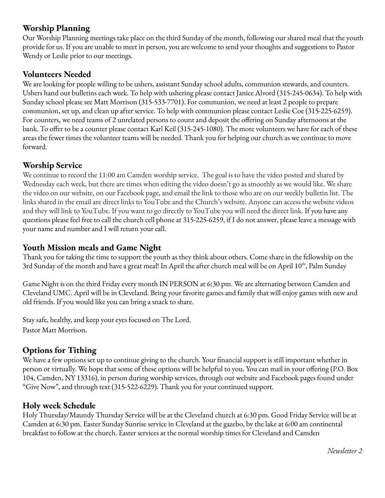### **Worship Planning**

Our Worship Planning meetings take place on the third Sunday of the month, following our shared meal that the youth provide for us. If you are unable to meet in person, you are welcome to send your thoughts and suggestions to Pastor Wendy or Leslie prior to our meetings.

#### **Volunteers Needed**

We are looking for people willing to be ushers, assistant Sunday school adults, communion stewards, and counters. Ushers hand out bulletins each week. To help with ushering please contact Janice Alvord (315-245-0634). To help with Sunday school please see Matt Morrison (315-533-7701). For communion, we need at least 2 people to prepare communion, set up, and clean up after service. To help with communion please contact Leslie Coe (315-225-6259). For counters, we need teams of 2 unrelated persons to count and deposit the offering on Sunday afternoons at the bank. To offer to be a counter please contact Karl Keil (315-245-1080). The more volunteers we have for each of these areas the fewer times the volunteer teams will be needed. Thank you for helping our church as we continue to move forward.

#### **Worship Service**

We continue to record the 11:00 am Camden worship service. The goal is to have the video posted and shared by Wednesday each week, but there are times when editing the video doesn't go as smoothly as we would like. We share the video on our website, on our Facebook page, and email the link to those who are on our weekly bulletin list. The links shared in the email are direct links to YouTube and the Church's website. Anyone can access the website videos and they will link to YouTube. If you want to go directly to YouTube you will need the direct link. If you have any questions please feel free to call the church cell phone at 315-225-6259, if I do not answer, please leave a message with your name and number and I will return your call.

#### **Youth Mission meals and Game Night**

Thank you for taking the time to support the youth as they think about others. Come share in the fellowship on the 3rd Sunday of the month and have a great meal! In April the after church meal will be on April 10<sup>th</sup>, Palm Sunday

Game Night is on the third Friday every month IN PERSON at 6:30 pm. We are alternating between Camden and Cleveland UMC. April will be in Cleveland. Bring your favorite games and family that will enjoy games with new and old friends. If you would like you can bring a snack to share.

Stay safe, healthy, and keep your eyes focused on The Lord. Pastor Matt Morrison.

# **Options for Tithing**

We have a few options set up to continue giving to the church. Your financial support is still important whether in person or virtually. We hope that some of these options will be helpful to you. You can mail in your offering (P.O. Box 104, Camden, NY 13316), in person during worship services, through our website and Facebook pages found under "Give Now", and through text (315-522-6229). Thank you for your continued support.

#### **Holy week Schedule**

Holy Thursday/Maundy Thursday Service will be at the Cleveland church at 6:30 pm. Good Friday Service will be at Camden at 6:30 pm. Easter Sunday Sunrise service in Cleveland at the gazebo, by the lake at 6:00 am continental breakfast to follow at the church. Easter services at the normal worship times for Cleveland and Camden

*Newsletter 2*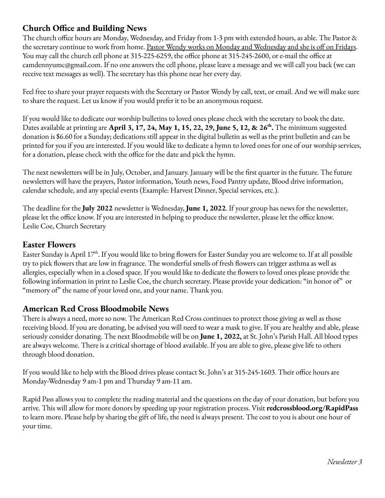# **Church Office and Building News**

The church office hours are Monday, Wednesday, and Friday from 1-3 pm with extended hours, as able. The Pastor & the secretary continue to work from home. <u>Pastor Wendy works on Monday and Wednesday and she is off on Fridays</u>. You may call the church cell phone at 315-225-6259, the office phone at 315-245-2600, or e-mail the office at camdennyumc@gmail.com. If no one answers the cell phone, please leave a message and we will call you back (we can receive text messages as well). The secretary has this phone near her every day.

Feel free to share your prayer requests with the Secretary or Pastor Wendy by call, text, or email. And we will make sure to share the request. Let us know if you would prefer it to be an anonymous request.

If you would like to dedicate our worship bulletins to loved ones please check with the secretary to book the date. Dates available at printing are **April 3, 17, 24, May 1, 15, 22, 29, June 5, 12, & 26 th .** The minimum suggested donation is \$6.60 for a Sunday; dedications still appear in the digital bulletin as well as the print bulletin and can be printed for you if you are interested. If you would like to dedicate a hymn to loved ones for one of our worship services, for a donation, please check with the office for the date and pick the hymn.

The next newsletters will be in July, October, and January. January will be the first quarter in the future. The future newsletters will have the prayers, Pastor information, Youth news, Food Pantry update, Blood drive information, calendar schedule, and any special events (Example: Harvest Dinner, Special services, etc.).

The deadline for the **July 2022** newsletter is Wednesday, **June 1, 2022**. If your group has news for the newsletter, please let the office know. If you are interested in helping to produce the newsletter, please let the office know. Leslie Coe, Church Secretary

### **Easter Flowers**

Easter Sunday is April 17<sup>th</sup>. If you would like to bring flowers for Easter Sunday you are welcome to. If at all possible try to pick flowers that are low in fragrance. The wonderful smells of fresh flowers can trigger asthma as well as allergies, especially when in a closed space. If you would like to dedicate the flowers to loved ones please provide the following information in print to Leslie Coe, the church secretary. Please provide your dedication: "in honor of" or "memory of" the name of your loved one, and your name. Thank you.

#### **American Red Cross Bloodmobile News**

There is always a need, more so now. The American Red Cross continues to protect those giving as well as those receiving blood. If you are donating, be advised you will need to wear a mask to give. If you are healthy and able, please seriously consider donating. The next Bloodmobile will be on **June 1, 2022,** at St. John's Parish Hall. All blood types are always welcome. There is a critical shortage of blood available. If you are able to give, please give life to others through blood donation.

If you would like to help with the Blood drives please contact St. John's at 315-245-1603. Their office hours are Monday-Wednesday 9 am-1 pm and Thursday 9 am-11 am.

Rapid Pass allows you to complete the reading material and the questions on the day of your donation, but before you arrive. This will allow for more donors by speeding up your registration process. Visit **redcrossblood.org/RapidPass** to learn more. Please help by sharing the gift of life, the need is always present. The cost to you is about one hour of your time.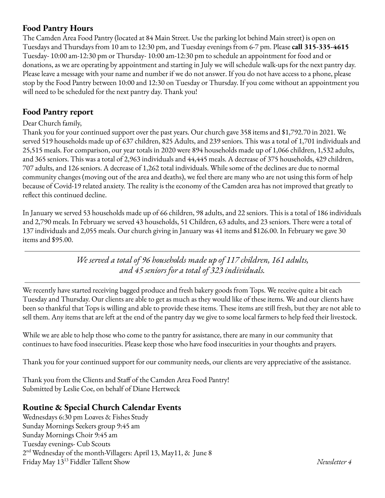#### **Food Pantry Hours**

The Camden Area Food Pantry (located at 84 Main Street. Use the parking lot behind Main street) is open on Tuesdays and Thursdays from 10 am to 12:30 pm, and Tuesday evenings from 6-7 pm. Please **call 315-335-4615** Tuesday- 10:00 am-12:30 pm or Thursday- 10:00 am-12:30 pm to schedule an appointment for food and or donations, as we are operating by appointment and starting in July we will schedule walk-ups for the next pantry day. Please leave a message with your name and number if we do not answer. If you do not have access to a phone, please stop by the Food Pantry between 10:00 and 12:30 on Tuesday or Thursday. If you come without an appointment you will need to be scheduled for the next pantry day. Thank you!

### **Food Pantry report**

#### Dear Church family,

Thank you for your continued support over the past years. Our church gave 358 items and \$1,792.70 in 2021. We served 519 households made up of 637 children, 825 Adults, and 239 seniors. This was a total of 1,701 individuals and 25,515 meals. For comparison, our year totals in 2020 were 894 households made up of 1,066 children, 1,532 adults, and 365 seniors. This was a total of 2,963 individuals and 44,445 meals. A decrease of 375 households, 429 children, 707 adults, and 126 seniors. A decrease of 1,262 total individuals. While some of the declines are due to normal community changes (moving out of the area and deaths), we feel there are many who are not using this form of help because of Covid-19 related anxiety. The reality is the economy of the Camden area has not improved that greatly to reflect this continued decline.

In January we served 53 households made up of 66 children, 98 adults, and 22 seniors. This is a total of 186 individuals and 2,790 meals. In February we served 43 households, 51 Children, 63 adults, and 23 seniors. There were a total of 137 individuals and 2,055 meals. Our church giving in January was 41 items and \$126.00. In February we gave 30 items and \$95.00.

> *We served a total of 96 households made up of 117 children, 161 adults, and 45 seniors for a total of 323 individuals.*

We recently have started receiving bagged produce and fresh bakery goods from Tops. We receive quite a bit each Tuesday and Thursday. Our clients are able to get as much as they would like of these items. We and our clients have been so thankful that Tops is willing and able to provide these items. These items are still fresh, but they are not able to sell them. Any items that are left at the end of the pantry day we give to some local farmers to help feed their livestock.

While we are able to help those who come to the pantry for assistance, there are many in our community that continues to have food insecurities. Please keep those who have food insecurities in your thoughts and prayers.

Thank you for your continued support for our community needs, our clients are very appreciative of the assistance.

Thank you from the Clients and Staff of the Camden Area Food Pantry! Submitted by Leslie Coe, on behalf of Diane Hertweck

# **Routine & Special Church Calendar Events**

Wednesdays 6:30 pm Loaves & Fishes Study Sunday Mornings Seekers group 9:45 am Sunday Mornings Choir 9:45 am Tuesday evenings- Cub Scouts 2 nd Wednesday of the month-Villagers: April 13, May11, & June 8 Friday May 13 <sup>13</sup> Fiddler Tallent Show *Newsletter 4*